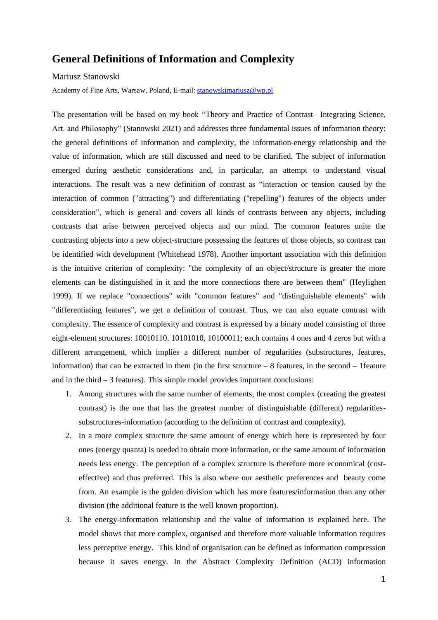## **General Definitions of Information and Complexity**

Mariusz Stanowski

Academy of Fine Arts, Warsaw, Poland, E-mail: [stanowskimariusz@wp.pl](mailto:stanowskimariusz@wp.pl)

The presentation will be based on my book "Theory and Practice of Contrast– Integrating Science, Art. and Philosophy" (Stanowski 2021) and addresses three fundamental issues of information theory: the general definitions of information and complexity, the information-energy relationship and the value of information, which are still discussed and need to be clarified. The subject of information emerged during aesthetic considerations and, in particular, an attempt to understand visual interactions. The result was a new definition of contrast as "interaction or tension caused by the interaction of common ("attracting") and differentiating ("repelling") features of the objects under consideration", which is general and covers all kinds of contrasts between any objects, including contrasts that arise between perceived objects and our mind. The common features unite the contrasting objects into a new object-structure possessing the features of those objects, so contrast can be identified with development (Whitehead 1978). Another important association with this definition is the intuitive criterion of complexity: "the complexity of an object/structure is greater the more elements can be distinguished in it and the more connections there are between them" (Heylighen 1999). If we replace "connections" with "common features" and "distinguishable elements" with "differentiating features", we get a definition of contrast. Thus, we can also equate contrast with complexity. The essence of complexity and contrast is expressed by a binary model consisting of three eight-element structures: 10010110, 10101010, 10100011; each contains 4 ones and 4 zeros but with a different arrangement, which implies a different number of regularities (substructures, features, information) that can be extracted in them (in the first structure – 8 features, in the second – 1feature and in the third  $-3$  features). This simple model provides important conclusions:

- 1. Among structures with the same number of elements, the most complex (creating the greatest contrast) is the one that has the greatest number of distinguishable (different) regularitiessubstructures-information (according to the definition of contrast and complexity).
- 2. In a more complex structure the same amount of energy which here is represented by four ones (energy quanta) is needed to obtain more information, or the same amount of information needs less energy. The perception of a complex structure is therefore more economical (costeffective) and thus preferred. This is also where our aesthetic preferences and beauty come from. An example is the golden division which has more features/information than any other division (the additional feature is the well known proportion).
- 3. The energy-information relationship and the value of information is explained here. The model shows that more complex, organised and therefore more valuable information requires less perceptive energy. This kind of organisation can be defined as information compression because it saves energy. In the Abstract Complexity Definition (ACD) information